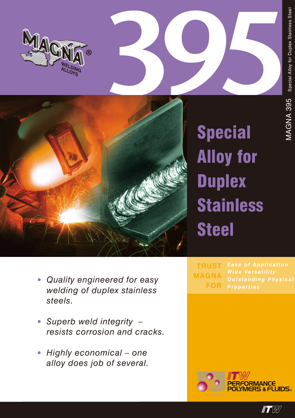



**Special Alloy for Duplex Stainless Steel** 

- Quality engineered for easy welding of duplex stainless steels.
- · Superb weld integrity resists corrosion and cracks.
- Highly economical one  $\bullet$ alloy does job of several.

**TRUST MAGNA FOR** 



 $\blacksquare$